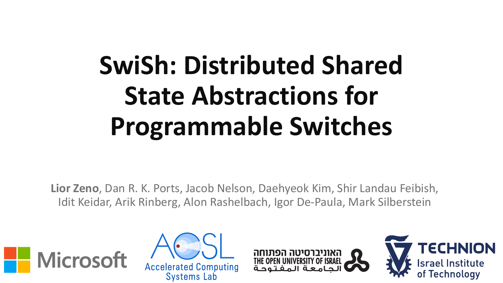# **SwiSh: Distributed Shared State Abstractions for Programmable Switches**

**Lior Zeno**, Dan R. K. Ports, Jacob Nelson, Daehyeok Kim, Shir Landau Feibish, Idit Keidar, Arik Rinberg, Alon Rashelbach, Igor De-Paula, Mark Silberstein







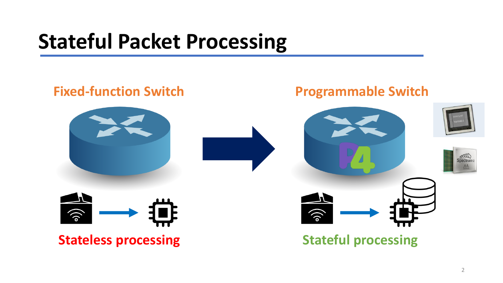### **Stateful Packet Processing**

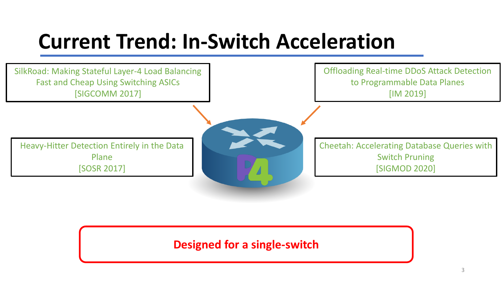### **Current Trend: In-Switch Acceleration**



#### **Designed for a single-switch**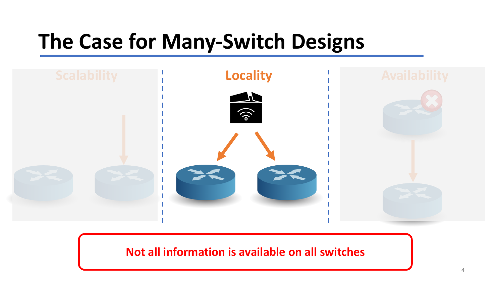# **The Case for Many-Switch Designs**



**Not all information is available on all switches**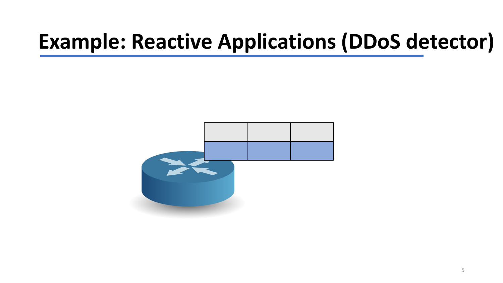# **Example: Reactive Applications (DDoS detector)**

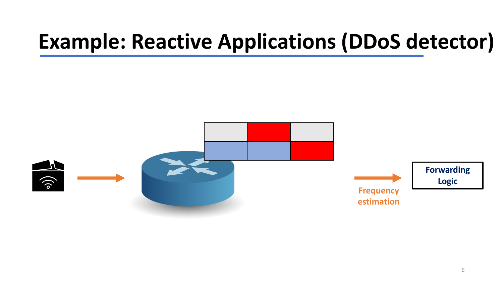# **Example: Reactive Applications (DDoS detector)**

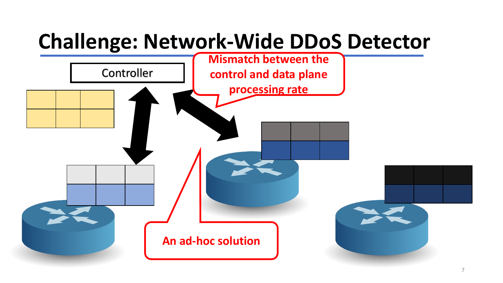# **Challenge: Network-Wide DDoS Detector**

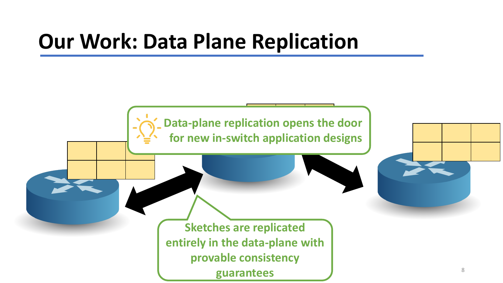### **Our Work: Data Plane Replication**

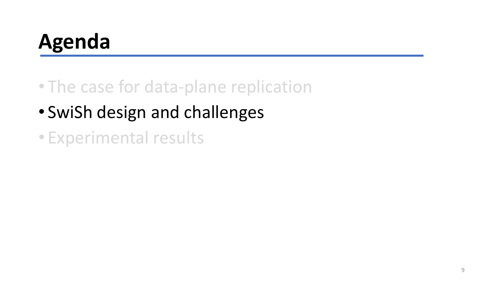# **Agenda**

- The case for data-plane replication
- SwiSh design and challenges
- Experimental results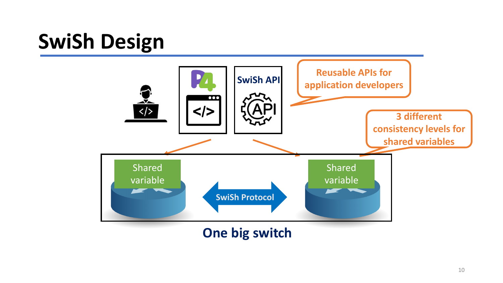# **SwiSh Design**

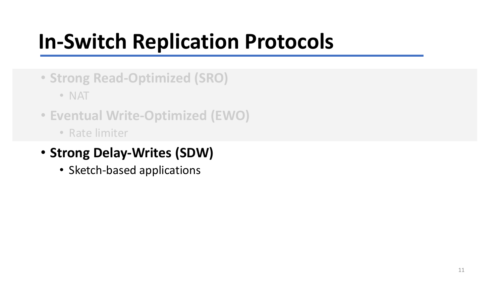# **In-Switch Replication Protocols**

• **Strong Read-Optimized (SRO)**

• NAT

- **Eventual Write-Optimized (EWO)**
	- Rate limiter

#### • **Strong Delay-Writes (SDW)**

• Sketch-based applications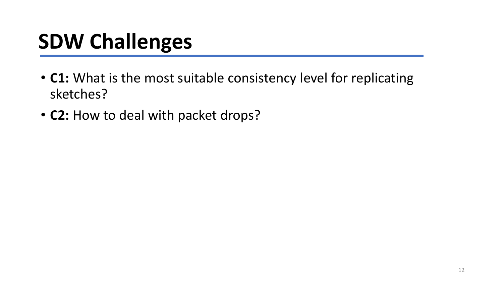# **SDW Challenges**

- **C1:** What is the most suitable consistency level for replicating sketches?
- **C2:** How to deal with packet drops?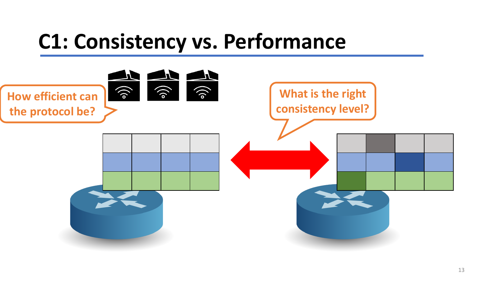### **C1: Consistency vs. Performance**

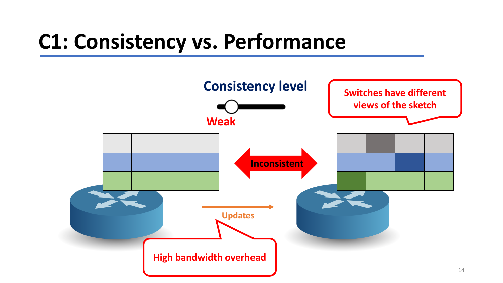### **C1: Consistency vs. Performance**

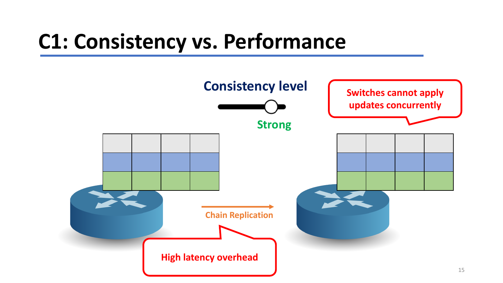# **C1: Consistency vs. Performance**

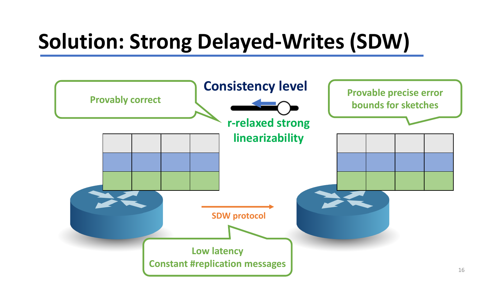# **Solution: Strong Delayed-Writes (SDW)**

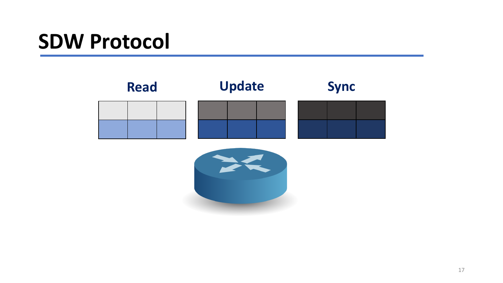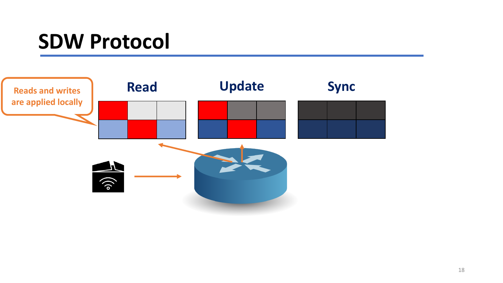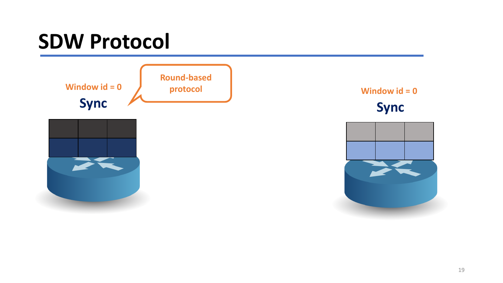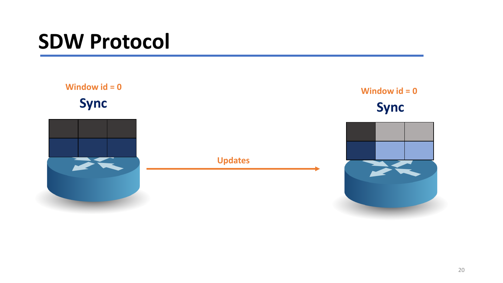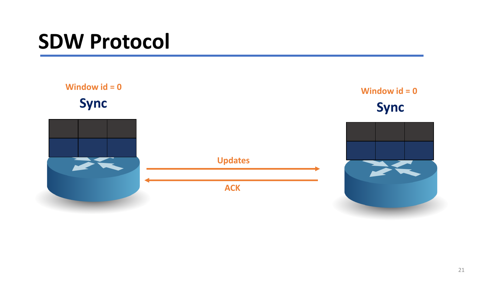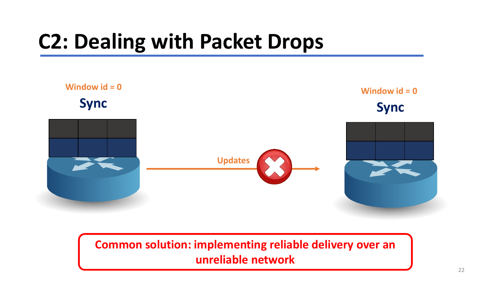# **C2: Dealing with Packet Drops**



#### **Common solution: implementing reliable delivery over an unreliable network**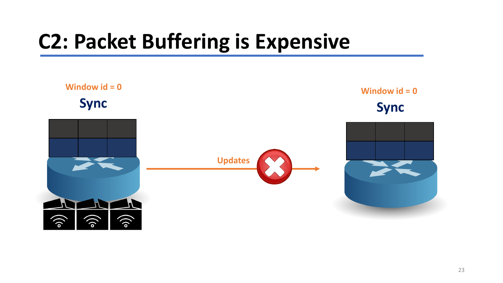# **C2: Packet Buffering is Expensive**

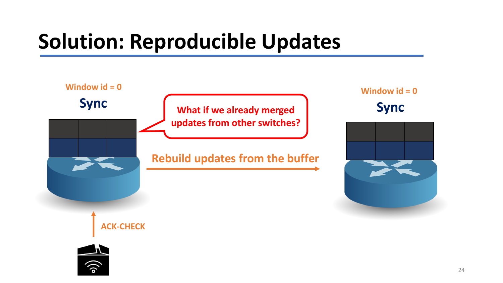# **Solution: Reproducible Updates**

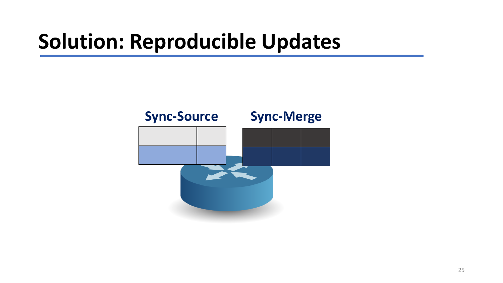# **Solution: Reproducible Updates**

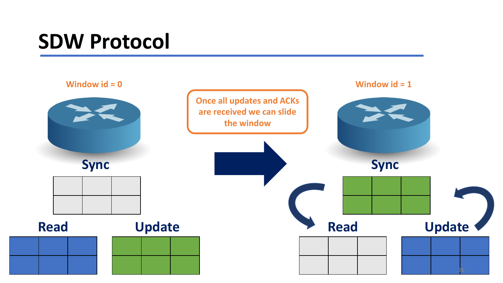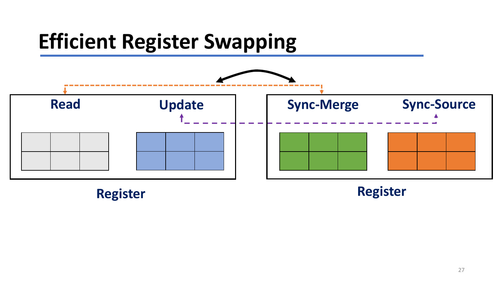# **Efficient Register Swapping**

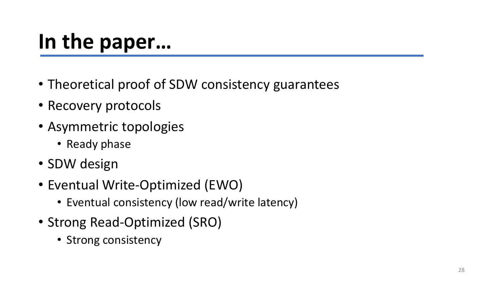# **In the paper…**

- Theoretical proof of SDW consistency guarantees
- Recovery protocols
- Asymmetric topologies
	- Ready phase
- SDW design
- Eventual Write-Optimized (EWO)
	- Eventual consistency (low read/write latency)
- Strong Read-Optimized (SRO)
	- Strong consistency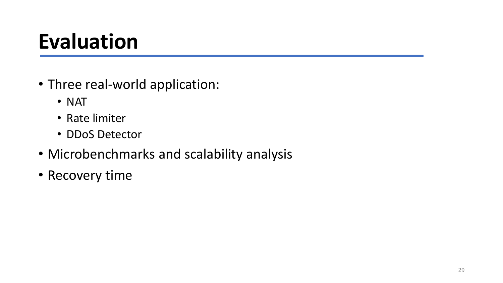# **Evaluation**

- Three real-world application:
	- NAT
	- Rate limiter
	- DDoS Detector
- Microbenchmarks and scalability analysis
- Recovery time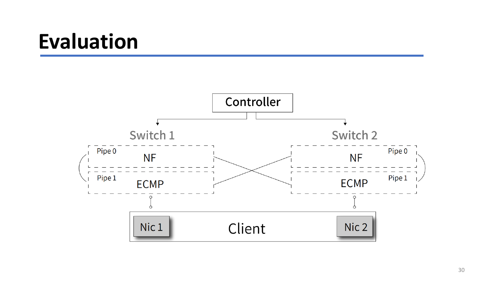#### **Evaluation**

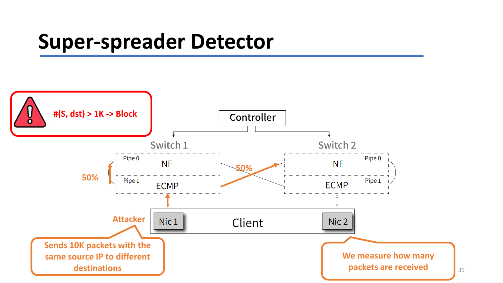#### **Super-spreader Detector**

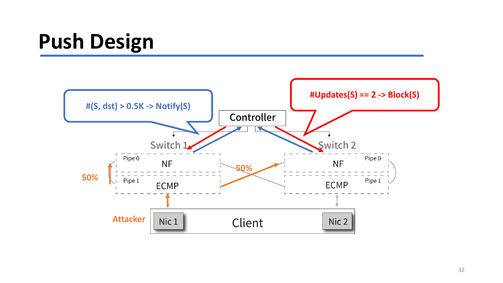# **Push Design**

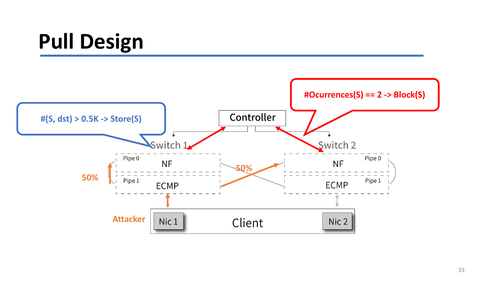# **Pull Design**

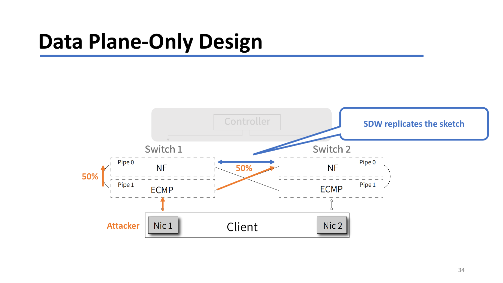# **Data Plane-Only Design**

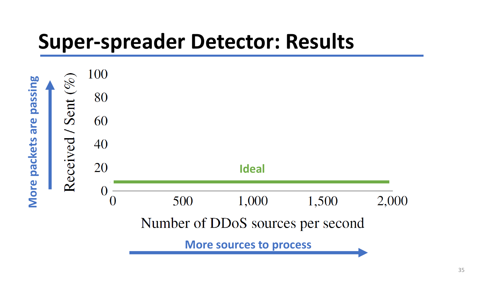#### **Super-spreader Detector: Results**

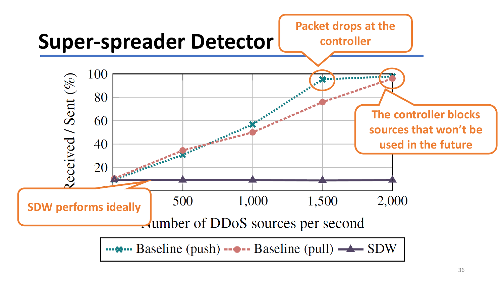